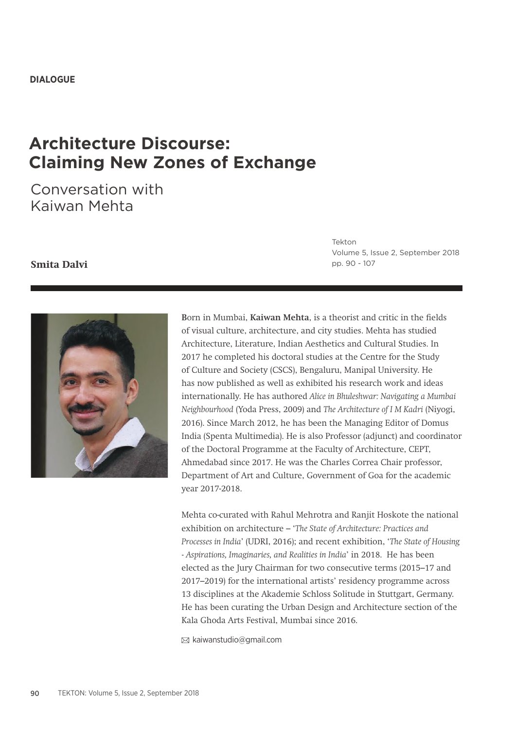# **Architecture Discourse: Claiming New Zones of Exchange**

Conversation with Kaiwan Mehta

#### **Smita Dalvi**

Tekton Volume 5, Issue 2, September 2018 pp. 90 - 107



**B**orn in Mumbai, **Kaiwan Mehta**, is a theorist and critic in the fields of visual culture, architecture, and city studies. Mehta has studied Architecture, Literature, Indian Aesthetics and Cultural Studies. In 2017 he completed his doctoral studies at the Centre for the Study of Culture and Society (CSCS), Bengaluru, Manipal University. He has now published as well as exhibited his research work and ideas internationally. He has authored *Alice in Bhuleshwar: Navigating a Mumbai Neighbourhood* (Yoda Press, 2009) and *The Architecture of I M Kadri* (Niyogi, 2016). Since March 2012, he has been the Managing Editor of Domus India (Spenta Multimedia). He is also Professor (adjunct) and coordinator of the Doctoral Programme at the Faculty of Architecture, CEPT, Ahmedabad since 2017. He was the Charles Correa Chair professor, Department of Art and Culture, Government of Goa for the academic year 2017-2018.

Mehta co-curated with Rahul Mehrotra and Ranjit Hoskote the national exhibition on architecture – '*The State of Architecture: Practices and Processes in India*' (UDRI, 2016); and recent exhibition, '*The State of Housing - Aspirations, Imaginaries, and Realities in India*' in 2018. He has been elected as the Jury Chairman for two consecutive terms (2015–17 and 2017–2019) for the international artists' residency programme across 13 disciplines at the Akademie Schloss Solitude in Stuttgart, Germany. He has been curating the Urban Design and Architecture section of the Kala Ghoda Arts Festival, Mumbai since 2016.

 $\boxtimes$  kaiwanstudio@gmail.com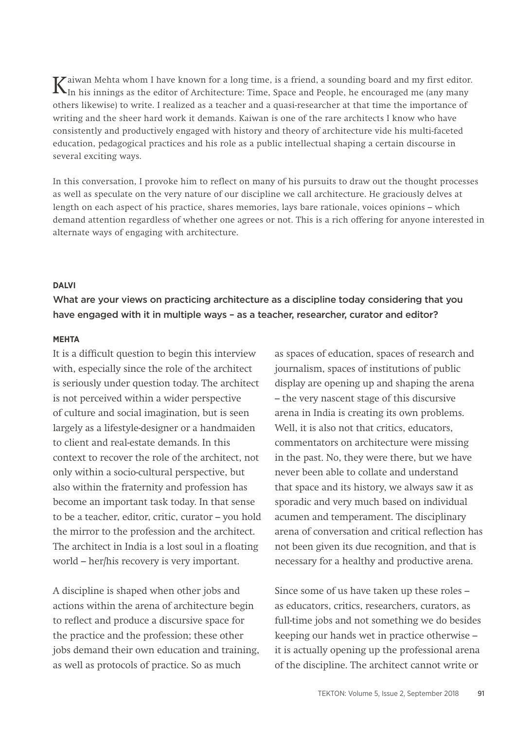$K_{\text{In his} }$  innings as the editor of Architecture: Time, Space and People, he encouraged me (any many many others likewise) to write. I realized as a teacher and a quasi-researcher at that time the importance of writing and the sheer hard work it demands. Kaiwan is one of the rare architects I know who have consistently and productively engaged with history and theory of architecture vide his multi-faceted education, pedagogical practices and his role as a public intellectual shaping a certain discourse in several exciting ways.

In this conversation, I provoke him to reflect on many of his pursuits to draw out the thought processes as well as speculate on the very nature of our discipline we call architecture. He graciously delves at length on each aspect of his practice, shares memories, lays bare rationale, voices opinions – which demand attention regardless of whether one agrees or not. This is a rich offering for anyone interested in alternate ways of engaging with architecture.

## **DALVI**

What are your views on practicing architecture as a discipline today considering that you have engaged with it in multiple ways - as a teacher, researcher, curator and editor?

## **MEHTA**

It is a difficult question to begin this interview with, especially since the role of the architect is seriously under question today. The architect is not perceived within a wider perspective of culture and social imagination, but is seen largely as a lifestyle-designer or a handmaiden to client and real-estate demands. In this context to recover the role of the architect, not only within a socio-cultural perspective, but also within the fraternity and profession has become an important task today. In that sense to be a teacher, editor, critic, curator – you hold the mirror to the profession and the architect. The architect in India is a lost soul in a floating world – her/his recovery is very important.

A discipline is shaped when other jobs and actions within the arena of architecture begin to reflect and produce a discursive space for the practice and the profession; these other jobs demand their own education and training, as well as protocols of practice. So as much

as spaces of education, spaces of research and journalism, spaces of institutions of public display are opening up and shaping the arena – the very nascent stage of this discursive arena in India is creating its own problems. Well, it is also not that critics, educators, commentators on architecture were missing in the past. No, they were there, but we have never been able to collate and understand that space and its history, we always saw it as sporadic and very much based on individual acumen and temperament. The disciplinary arena of conversation and critical reflection has not been given its due recognition, and that is necessary for a healthy and productive arena.

Since some of us have taken up these roles – as educators, critics, researchers, curators, as full-time jobs and not something we do besides keeping our hands wet in practice otherwise – it is actually opening up the professional arena of the discipline. The architect cannot write or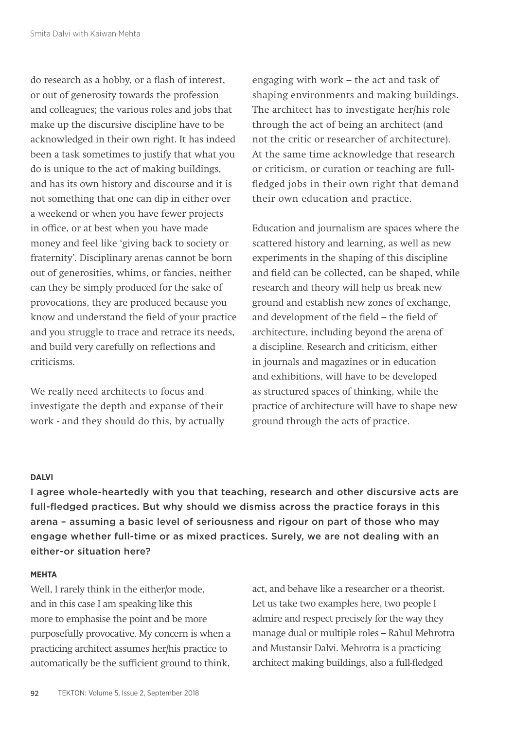do research as a hobby, or a flash of interest, or out of generosity towards the profession and colleagues; the various roles and jobs that make up the discursive discipline have to be acknowledged in their own right. It has indeed been a task sometimes to justify that what you do is unique to the act of making buildings, and has its own history and discourse and it is not something that one can dip in either over a weekend or when you have fewer projects in office, or at best when you have made money and feel like 'giving back to society or fraternity'. Disciplinary arenas cannot be born out of generosities, whims, or fancies, neither can they be simply produced for the sake of provocations, they are produced because you know and understand the field of your practice and you struggle to trace and retrace its needs, and build very carefully on reflections and criticisms.

We really need architects to focus and investigate the depth and expanse of their work - and they should do this, by actually engaging with work – the act and task of shaping environments and making buildings. The architect has to investigate her/his role through the act of being an architect (and not the critic or researcher of architecture). At the same time acknowledge that research or criticism, or curation or teaching are fullfledged jobs in their own right that demand their own education and practice.

Education and journalism are spaces where the scattered history and learning, as well as new experiments in the shaping of this discipline and field can be collected, can be shaped, while research and theory will help us break new ground and establish new zones of exchange, and development of the field – the field of architecture, including beyond the arena of a discipline. Research and criticism, either in journals and magazines or in education and exhibitions, will have to be developed as structured spaces of thinking, while the practice of architecture will have to shape new ground through the acts of practice.

#### **DALVI**

I agree whole-heartedly with you that teaching, research and other discursive acts are full-fledged practices. But why should we dismiss across the practice forays in this arena – assuming a basic level of seriousness and rigour on part of those who may engage whether full-time or as mixed practices. Surely, we are not dealing with an either-or situation here?

#### **MEHTA**

Well, I rarely think in the either/or mode, and in this case I am speaking like this more to emphasise the point and be more purposefully provocative. My concern is when a practicing architect assumes her/his practice to automatically be the sufficient ground to think,

act, and behave like a researcher or a theorist. Let us take two examples here, two people I admire and respect precisely for the way they manage dual or multiple roles – Rahul Mehrotra and Mustansir Dalvi. Mehrotra is a practicing architect making buildings, also a full-fledged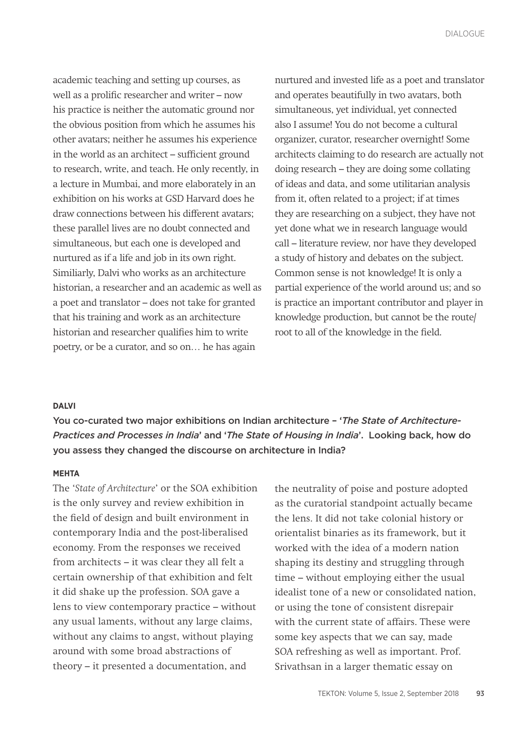academic teaching and setting up courses, as well as a prolific researcher and writer – now his practice is neither the automatic ground nor the obvious position from which he assumes his other avatars; neither he assumes his experience in the world as an architect – sufficient ground to research, write, and teach. He only recently, in a lecture in Mumbai, and more elaborately in an exhibition on his works at GSD Harvard does he draw connections between his different avatars; these parallel lives are no doubt connected and simultaneous, but each one is developed and nurtured as if a life and job in its own right. Similiarly, Dalvi who works as an architecture historian, a researcher and an academic as well as a poet and translator – does not take for granted that his training and work as an architecture historian and researcher qualifies him to write poetry, or be a curator, and so on… he has again

nurtured and invested life as a poet and translator and operates beautifully in two avatars, both simultaneous, yet individual, yet connected also I assume! You do not become a cultural organizer, curator, researcher overnight! Some architects claiming to do research are actually not doing research – they are doing some collating of ideas and data, and some utilitarian analysis from it, often related to a project; if at times they are researching on a subject, they have not yet done what we in research language would call – literature review, nor have they developed a study of history and debates on the subject. Common sense is not knowledge! It is only a partial experience of the world around us; and so is practice an important contributor and player in knowledge production, but cannot be the route/ root to all of the knowledge in the field.

#### **DALVI**

You co-curated two major exhibitions on Indian architecture – '*The State of Architecture-Practices and Processes in India*' and '*The State of Housing in India*'. Looking back, how do you assess they changed the discourse on architecture in India?

#### **MEHTA**

The '*State of Architecture*' or the SOA exhibition is the only survey and review exhibition in the field of design and built environment in contemporary India and the post-liberalised economy. From the responses we received from architects – it was clear they all felt a certain ownership of that exhibition and felt it did shake up the profession. SOA gave a lens to view contemporary practice – without any usual laments, without any large claims, without any claims to angst, without playing around with some broad abstractions of theory – it presented a documentation, and

the neutrality of poise and posture adopted as the curatorial standpoint actually became the lens. It did not take colonial history or orientalist binaries as its framework, but it worked with the idea of a modern nation shaping its destiny and struggling through time – without employing either the usual idealist tone of a new or consolidated nation, or using the tone of consistent disrepair with the current state of affairs. These were some key aspects that we can say, made SOA refreshing as well as important. Prof. Srivathsan in a larger thematic essay on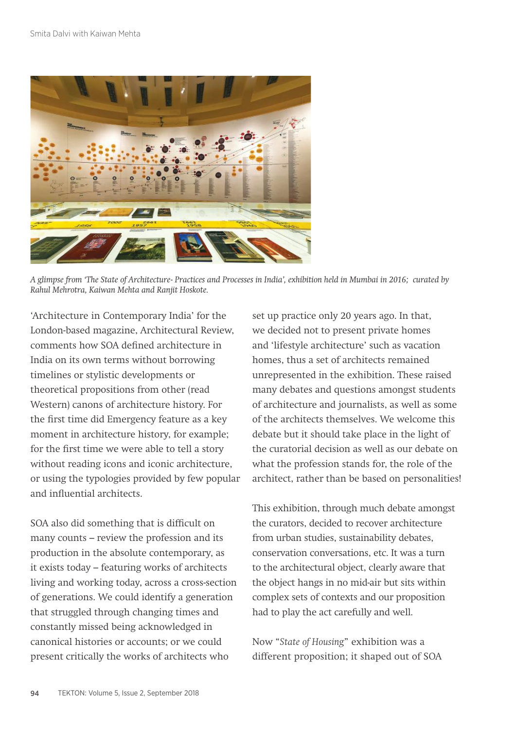

*A glimpse from 'The State of Architecture- Practices and Processes in India', exhibition held in Mumbai in 2016; curated by Rahul Mehrotra, Kaiwan Mehta and Ranjit Hoskote.*

'Architecture in Contemporary India' for the London-based magazine, Architectural Review, comments how SOA defined architecture in India on its own terms without borrowing timelines or stylistic developments or theoretical propositions from other (read Western) canons of architecture history. For the first time did Emergency feature as a key moment in architecture history, for example; for the first time we were able to tell a story without reading icons and iconic architecture, or using the typologies provided by few popular and influential architects.

SOA also did something that is difficult on many counts – review the profession and its production in the absolute contemporary, as it exists today – featuring works of architects living and working today, across a cross-section of generations. We could identify a generation that struggled through changing times and constantly missed being acknowledged in canonical histories or accounts; or we could present critically the works of architects who

set up practice only 20 years ago. In that, we decided not to present private homes and 'lifestyle architecture' such as vacation homes, thus a set of architects remained unrepresented in the exhibition. These raised many debates and questions amongst students of architecture and journalists, as well as some of the architects themselves. We welcome this debate but it should take place in the light of the curatorial decision as well as our debate on what the profession stands for, the role of the architect, rather than be based on personalities!

This exhibition, through much debate amongst the curators, decided to recover architecture from urban studies, sustainability debates, conservation conversations, etc. It was a turn to the architectural object, clearly aware that the object hangs in no mid-air but sits within complex sets of contexts and our proposition had to play the act carefully and well.

Now "*State of Housing*" exhibition was a different proposition; it shaped out of SOA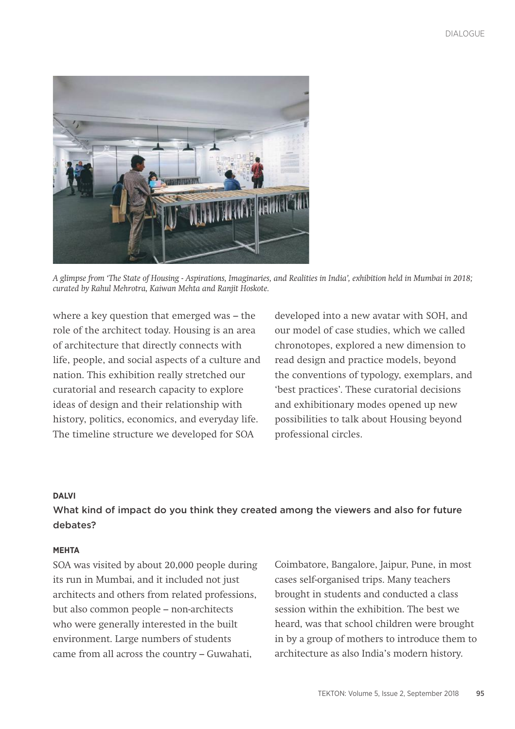

*A glimpse from 'The State of Housing - Aspirations, Imaginaries, and Realities in India', exhibition held in Mumbai in 2018; curated by Rahul Mehrotra, Kaiwan Mehta and Ranjit Hoskote.*

where a key question that emerged was – the role of the architect today. Housing is an area of architecture that directly connects with life, people, and social aspects of a culture and nation. This exhibition really stretched our curatorial and research capacity to explore ideas of design and their relationship with history, politics, economics, and everyday life. The timeline structure we developed for SOA

developed into a new avatar with SOH, and our model of case studies, which we called chronotopes, explored a new dimension to read design and practice models, beyond the conventions of typology, exemplars, and 'best practices'. These curatorial decisions and exhibitionary modes opened up new possibilities to talk about Housing beyond professional circles.

## **DALVI**

## What kind of impact do you think they created among the viewers and also for future debates?

#### **MEHTA**

SOA was visited by about 20,000 people during its run in Mumbai, and it included not just architects and others from related professions, but also common people – non-architects who were generally interested in the built environment. Large numbers of students came from all across the country – Guwahati,

Coimbatore, Bangalore, Jaipur, Pune, in most cases self-organised trips. Many teachers brought in students and conducted a class session within the exhibition. The best we heard, was that school children were brought in by a group of mothers to introduce them to architecture as also India's modern history.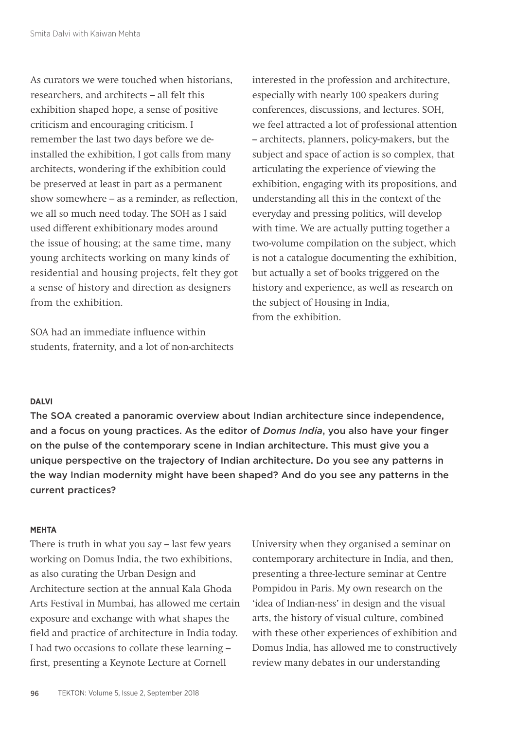As curators we were touched when historians, researchers, and architects – all felt this exhibition shaped hope, a sense of positive criticism and encouraging criticism. I remember the last two days before we deinstalled the exhibition, I got calls from many architects, wondering if the exhibition could be preserved at least in part as a permanent show somewhere – as a reminder, as reflection, we all so much need today. The SOH as I said used different exhibitionary modes around the issue of housing; at the same time, many young architects working on many kinds of residential and housing projects, felt they got a sense of history and direction as designers from the exhibition.

SOA had an immediate influence within students, fraternity, and a lot of non-architects interested in the profession and architecture, especially with nearly 100 speakers during conferences, discussions, and lectures. SOH, we feel attracted a lot of professional attention – architects, planners, policy-makers, but the subject and space of action is so complex, that articulating the experience of viewing the exhibition, engaging with its propositions, and understanding all this in the context of the everyday and pressing politics, will develop with time. We are actually putting together a two-volume compilation on the subject, which is not a catalogue documenting the exhibition, but actually a set of books triggered on the history and experience, as well as research on the subject of Housing in India, from the exhibition.

## **DALVI**

The SOA created a panoramic overview about Indian architecture since independence, and a focus on young practices. As the editor of *Domus India*, you also have your finger on the pulse of the contemporary scene in Indian architecture. This must give you a unique perspective on the trajectory of Indian architecture. Do you see any patterns in the way Indian modernity might have been shaped? And do you see any patterns in the current practices?

#### **MEHTA**

There is truth in what you say – last few years working on Domus India, the two exhibitions, as also curating the Urban Design and Architecture section at the annual Kala Ghoda Arts Festival in Mumbai, has allowed me certain exposure and exchange with what shapes the field and practice of architecture in India today. I had two occasions to collate these learning – first, presenting a Keynote Lecture at Cornell

University when they organised a seminar on contemporary architecture in India, and then, presenting a three-lecture seminar at Centre Pompidou in Paris. My own research on the 'idea of Indian-ness' in design and the visual arts, the history of visual culture, combined with these other experiences of exhibition and Domus India, has allowed me to constructively review many debates in our understanding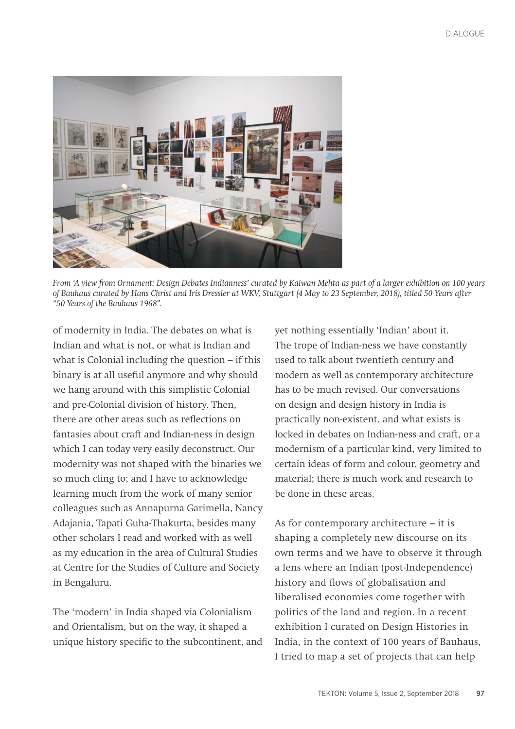

*From 'A view from Ornament: Design Debates Indianness' curated by Kaiwan Mehta as part of a larger exhibition on 100 years of Bauhaus curated by Hans Christ and Iris Dressler at WKV, Stuttgart (4 May to 23 September, 2018), titled 50 Years after "50 Years of the Bauhaus 1968".*

of modernity in India. The debates on what is Indian and what is not, or what is Indian and what is Colonial including the question – if this binary is at all useful anymore and why should we hang around with this simplistic Colonial and pre-Colonial division of history. Then, there are other areas such as reflections on fantasies about craft and Indian-ness in design which I can today very easily deconstruct. Our modernity was not shaped with the binaries we so much cling to; and I have to acknowledge learning much from the work of many senior colleagues such as Annapurna Garimella, Nancy Adajania, Tapati Guha-Thakurta, besides many other scholars I read and worked with as well as my education in the area of Cultural Studies at Centre for the Studies of Culture and Society in Bengaluru.

The 'modern' in India shaped via Colonialism and Orientalism, but on the way, it shaped a unique history specific to the subcontinent, and yet nothing essentially 'Indian' about it. The trope of Indian-ness we have constantly used to talk about twentieth century and modern as well as contemporary architecture has to be much revised. Our conversations on design and design history in India is practically non-existent, and what exists is locked in debates on Indian-ness and craft, or a modernism of a particular kind, very limited to certain ideas of form and colour, geometry and material; there is much work and research to be done in these areas.

As for contemporary architecture – it is shaping a completely new discourse on its own terms and we have to observe it through a lens where an Indian (post-Independence) history and flows of globalisation and liberalised economies come together with politics of the land and region. In a recent exhibition I curated on Design Histories in India, in the context of 100 years of Bauhaus, I tried to map a set of projects that can help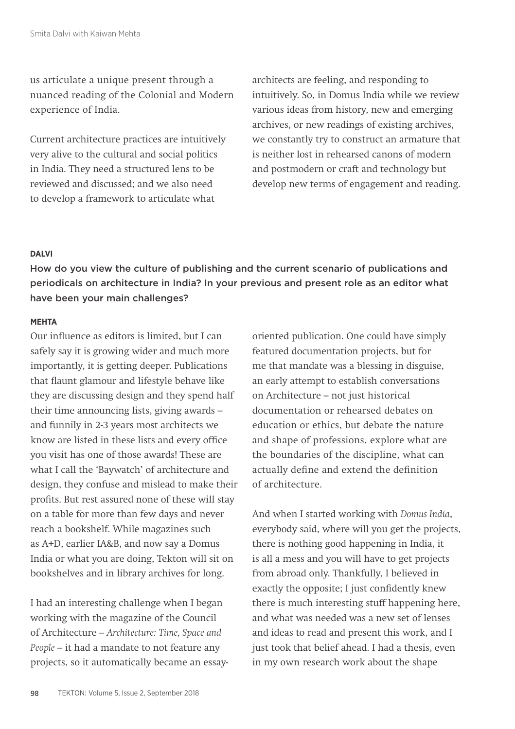us articulate a unique present through a nuanced reading of the Colonial and Modern experience of India.

Current architecture practices are intuitively very alive to the cultural and social politics in India. They need a structured lens to be reviewed and discussed; and we also need to develop a framework to articulate what

architects are feeling, and responding to intuitively. So, in Domus India while we review various ideas from history, new and emerging archives, or new readings of existing archives, we constantly try to construct an armature that is neither lost in rehearsed canons of modern and postmodern or craft and technology but develop new terms of engagement and reading.

## **DALVI**

How do you view the culture of publishing and the current scenario of publications and periodicals on architecture in India? In your previous and present role as an editor what have been your main challenges?

#### **MEHTA**

Our influence as editors is limited, but I can safely say it is growing wider and much more importantly, it is getting deeper. Publications that flaunt glamour and lifestyle behave like they are discussing design and they spend half their time announcing lists, giving awards – and funnily in 2-3 years most architects we know are listed in these lists and every office you visit has one of those awards! These are what I call the 'Baywatch' of architecture and design, they confuse and mislead to make their profits. But rest assured none of these will stay on a table for more than few days and never reach a bookshelf. While magazines such as A+D, earlier IA&B, and now say a Domus India or what you are doing, Tekton will sit on bookshelves and in library archives for long.

I had an interesting challenge when I began working with the magazine of the Council of Architecture – *Architecture: Time, Space and People* – it had a mandate to not feature any projects, so it automatically became an essayoriented publication. One could have simply featured documentation projects, but for me that mandate was a blessing in disguise, an early attempt to establish conversations on Architecture – not just historical documentation or rehearsed debates on education or ethics, but debate the nature and shape of professions, explore what are the boundaries of the discipline, what can actually define and extend the definition of architecture.

And when I started working with *Domus India*, everybody said, where will you get the projects, there is nothing good happening in India, it is all a mess and you will have to get projects from abroad only. Thankfully, I believed in exactly the opposite; I just confidently knew there is much interesting stuff happening here, and what was needed was a new set of lenses and ideas to read and present this work, and I just took that belief ahead. I had a thesis, even in my own research work about the shape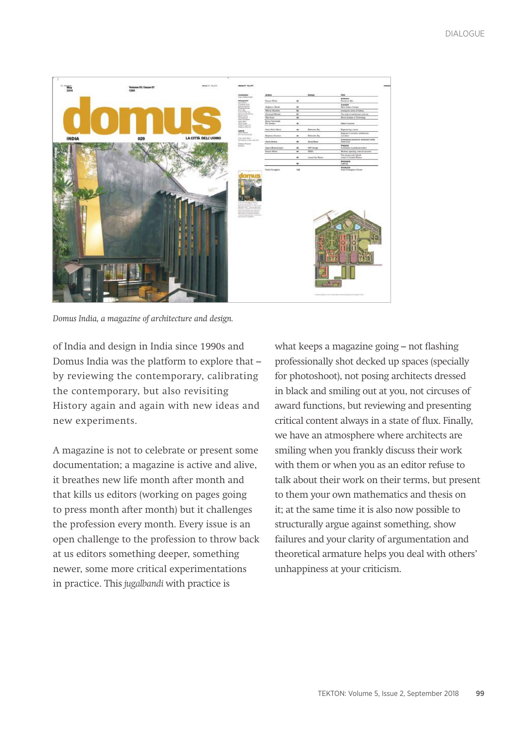

*Domus India, a magazine of architecture and design.*

of India and design in India since 1990s and Domus India was the platform to explore that – by reviewing the contemporary, calibrating the contemporary, but also revisiting History again and again with new ideas and new experiments.

A magazine is not to celebrate or present some documentation; a magazine is active and alive, it breathes new life month after month and that kills us editors (working on pages going to press month after month) but it challenges the profession every month. Every issue is an open challenge to the profession to throw back at us editors something deeper, something newer, some more critical experimentations in practice. This *jugalbandi* with practice is

what keeps a magazine going – not flashing professionally shot decked up spaces (specially for photoshoot), not posing architects dressed in black and smiling out at you, not circuses of award functions, but reviewing and presenting critical content always in a state of flux. Finally, we have an atmosphere where architects are smiling when you frankly discuss their work with them or when you as an editor refuse to talk about their work on their terms, but present to them your own mathematics and thesis on it; at the same time it is also now possible to structurally argue against something, show failures and your clarity of argumentation and theoretical armature helps you deal with others' unhappiness at your criticism.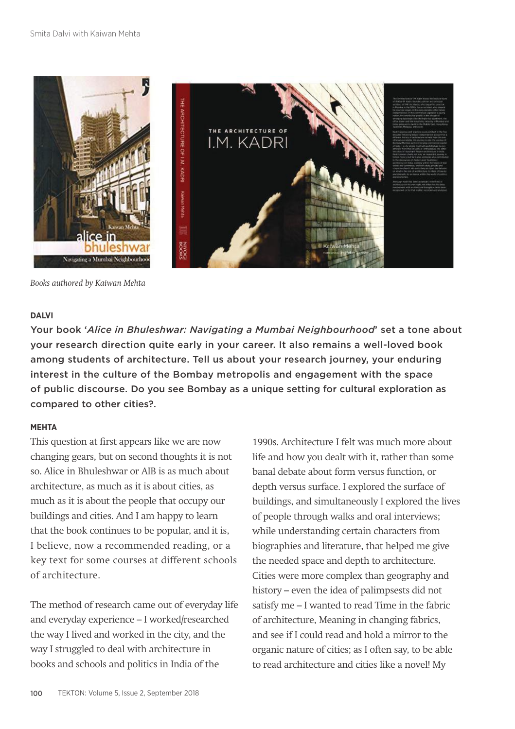

*Books authored by Kaiwan Mehta*

## **DALVI**

Your book '*Alice in Bhuleshwar: Navigating a Mumbai Neighbourhood*' set a tone about your research direction quite early in your career. It also remains a well-loved book among students of architecture. Tell us about your research journey, your enduring interest in the culture of the Bombay metropolis and engagement with the space of public discourse. Do you see Bombay as a unique setting for cultural exploration as compared to other cities?.

## **MEHTA**

This question at first appears like we are now changing gears, but on second thoughts it is not so. Alice in Bhuleshwar or AIB is as much about architecture, as much as it is about cities, as much as it is about the people that occupy our buildings and cities. And I am happy to learn that the book continues to be popular, and it is, I believe, now a recommended reading, or a key text for some courses at different schools of architecture.

The method of research came out of everyday life and everyday experience – I worked/researched the way I lived and worked in the city, and the way I struggled to deal with architecture in books and schools and politics in India of the

1990s. Architecture I felt was much more about life and how you dealt with it, rather than some banal debate about form versus function, or depth versus surface. I explored the surface of buildings, and simultaneously I explored the lives of people through walks and oral interviews; while understanding certain characters from biographies and literature, that helped me give the needed space and depth to architecture. Cities were more complex than geography and history – even the idea of palimpsests did not satisfy me – I wanted to read Time in the fabric of architecture, Meaning in changing fabrics, and see if I could read and hold a mirror to the organic nature of cities; as I often say, to be able to read architecture and cities like a novel! My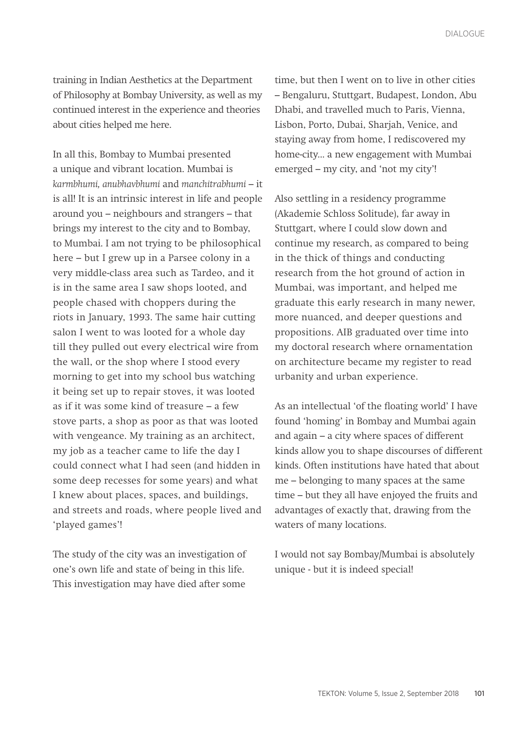training in Indian Aesthetics at the Department of Philosophy at Bombay University, as well as my continued interest in the experience and theories about cities helped me here.

In all this, Bombay to Mumbai presented a unique and vibrant location. Mumbai is *karmbhumi, anubhavbhumi* and *manchitrabhumi* – it is all! It is an intrinsic interest in life and people around you – neighbours and strangers – that brings my interest to the city and to Bombay, to Mumbai. I am not trying to be philosophical here – but I grew up in a Parsee colony in a very middle-class area such as Tardeo, and it is in the same area I saw shops looted, and people chased with choppers during the riots in January, 1993. The same hair cutting salon I went to was looted for a whole day till they pulled out every electrical wire from the wall, or the shop where I stood every morning to get into my school bus watching it being set up to repair stoves, it was looted as if it was some kind of treasure – a few stove parts, a shop as poor as that was looted with vengeance. My training as an architect, my job as a teacher came to life the day I could connect what I had seen (and hidden in some deep recesses for some years) and what I knew about places, spaces, and buildings, and streets and roads, where people lived and 'played games'!

The study of the city was an investigation of one's own life and state of being in this life. This investigation may have died after some

time, but then I went on to live in other cities – Bengaluru, Stuttgart, Budapest, London, Abu Dhabi, and travelled much to Paris, Vienna, Lisbon, Porto, Dubai, Sharjah, Venice, and staying away from home, I rediscovered my home-city... a new engagement with Mumbai emerged – my city, and 'not my city'!

Also settling in a residency programme (Akademie Schloss Solitude), far away in Stuttgart, where I could slow down and continue my research, as compared to being in the thick of things and conducting research from the hot ground of action in Mumbai, was important, and helped me graduate this early research in many newer, more nuanced, and deeper questions and propositions. AIB graduated over time into my doctoral research where ornamentation on architecture became my register to read urbanity and urban experience.

As an intellectual 'of the floating world' I have found 'homing' in Bombay and Mumbai again and again – a city where spaces of different kinds allow you to shape discourses of different kinds. Often institutions have hated that about me – belonging to many spaces at the same time – but they all have enjoyed the fruits and advantages of exactly that, drawing from the waters of many locations.

I would not say Bombay/Mumbai is absolutely unique - but it is indeed special!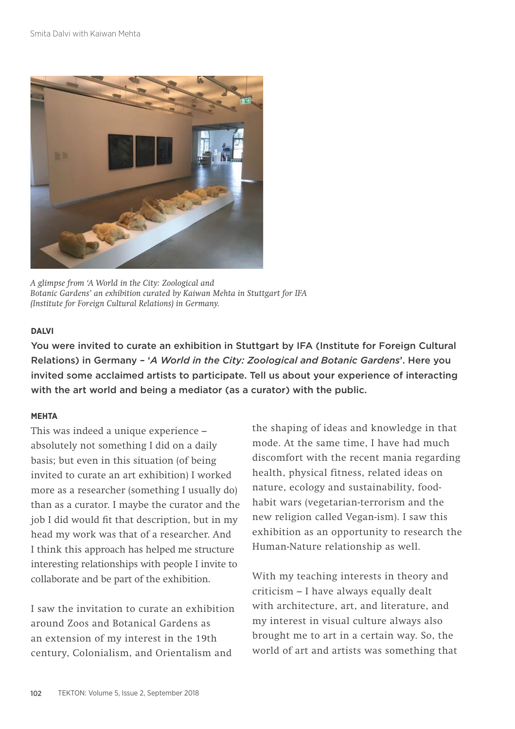

*A glimpse from 'A World in the City: Zoological and Botanic Gardens' an exhibition curated by Kaiwan Mehta in Stuttgart for IFA (Institute for Foreign Cultural Relations) in Germany.*

#### **DALVI**

You were invited to curate an exhibition in Stuttgart by IFA (Institute for Foreign Cultural Relations) in Germany – '*A World in the City: Zoological and Botanic Gardens*'. Here you invited some acclaimed artists to participate. Tell us about your experience of interacting with the art world and being a mediator (as a curator) with the public.

## **MEHTA**

This was indeed a unique experience – absolutely not something I did on a daily basis; but even in this situation (of being invited to curate an art exhibition) I worked more as a researcher (something I usually do) than as a curator. I maybe the curator and the job I did would fit that description, but in my head my work was that of a researcher. And I think this approach has helped me structure interesting relationships with people I invite to collaborate and be part of the exhibition.

I saw the invitation to curate an exhibition around Zoos and Botanical Gardens as an extension of my interest in the 19th century, Colonialism, and Orientalism and

the shaping of ideas and knowledge in that mode. At the same time, I have had much discomfort with the recent mania regarding health, physical fitness, related ideas on nature, ecology and sustainability, foodhabit wars (vegetarian-terrorism and the new religion called Vegan-ism). I saw this exhibition as an opportunity to research the Human-Nature relationship as well.

With my teaching interests in theory and criticism – I have always equally dealt with architecture, art, and literature, and my interest in visual culture always also brought me to art in a certain way. So, the world of art and artists was something that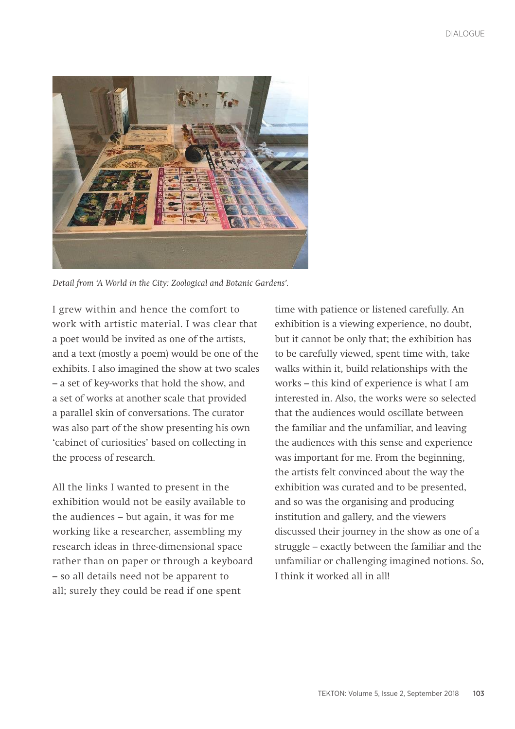

*Detail from 'A World in the City: Zoological and Botanic Gardens'.* 

I grew within and hence the comfort to work with artistic material. I was clear that a poet would be invited as one of the artists, and a text (mostly a poem) would be one of the exhibits. I also imagined the show at two scales – a set of key-works that hold the show, and a set of works at another scale that provided a parallel skin of conversations. The curator was also part of the show presenting his own 'cabinet of curiosities' based on collecting in the process of research.

All the links I wanted to present in the exhibition would not be easily available to the audiences – but again, it was for me working like a researcher, assembling my research ideas in three-dimensional space rather than on paper or through a keyboard – so all details need not be apparent to all; surely they could be read if one spent

time with patience or listened carefully. An exhibition is a viewing experience, no doubt, but it cannot be only that; the exhibition has to be carefully viewed, spent time with, take walks within it, build relationships with the works – this kind of experience is what I am interested in. Also, the works were so selected that the audiences would oscillate between the familiar and the unfamiliar, and leaving the audiences with this sense and experience was important for me. From the beginning, the artists felt convinced about the way the exhibition was curated and to be presented, and so was the organising and producing institution and gallery, and the viewers discussed their journey in the show as one of a struggle – exactly between the familiar and the unfamiliar or challenging imagined notions. So, I think it worked all in all!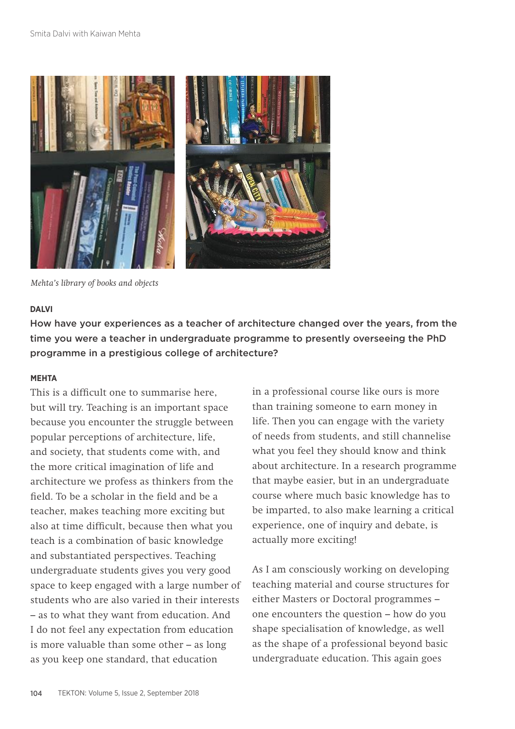

*Mehta's library of books and objects*

#### **DALVI**

How have your experiences as a teacher of architecture changed over the years, from the time you were a teacher in undergraduate programme to presently overseeing the PhD programme in a prestigious college of architecture?

## **MEHTA**

This is a difficult one to summarise here, but will try. Teaching is an important space because you encounter the struggle between popular perceptions of architecture, life, and society, that students come with, and the more critical imagination of life and architecture we profess as thinkers from the field. To be a scholar in the field and be a teacher, makes teaching more exciting but also at time difficult, because then what you teach is a combination of basic knowledge and substantiated perspectives. Teaching undergraduate students gives you very good space to keep engaged with a large number of students who are also varied in their interests – as to what they want from education. And I do not feel any expectation from education is more valuable than some other – as long as you keep one standard, that education

in a professional course like ours is more than training someone to earn money in life. Then you can engage with the variety of needs from students, and still channelise what you feel they should know and think about architecture. In a research programme that maybe easier, but in an undergraduate course where much basic knowledge has to be imparted, to also make learning a critical experience, one of inquiry and debate, is actually more exciting!

As I am consciously working on developing teaching material and course structures for either Masters or Doctoral programmes – one encounters the question – how do you shape specialisation of knowledge, as well as the shape of a professional beyond basic undergraduate education. This again goes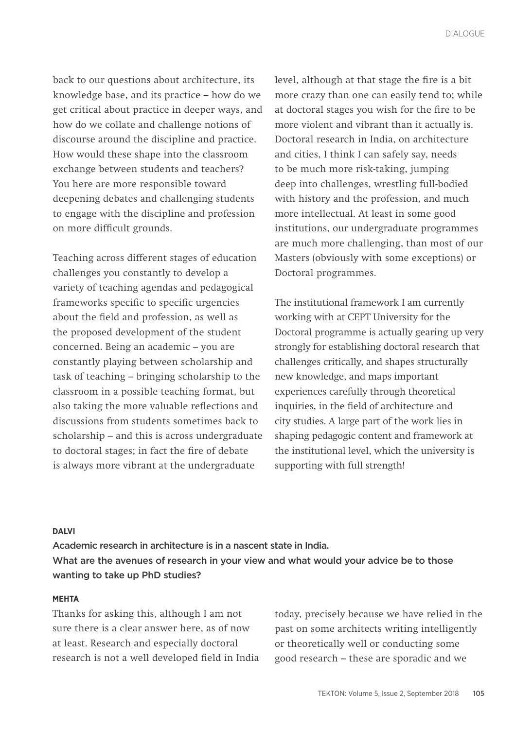back to our questions about architecture, its knowledge base, and its practice – how do we get critical about practice in deeper ways, and how do we collate and challenge notions of discourse around the discipline and practice. How would these shape into the classroom exchange between students and teachers? You here are more responsible toward deepening debates and challenging students to engage with the discipline and profession on more difficult grounds.

Teaching across different stages of education challenges you constantly to develop a variety of teaching agendas and pedagogical frameworks specific to specific urgencies about the field and profession, as well as the proposed development of the student concerned. Being an academic – you are constantly playing between scholarship and task of teaching – bringing scholarship to the classroom in a possible teaching format, but also taking the more valuable reflections and discussions from students sometimes back to scholarship – and this is across undergraduate to doctoral stages; in fact the fire of debate is always more vibrant at the undergraduate

level, although at that stage the fire is a bit more crazy than one can easily tend to; while at doctoral stages you wish for the fire to be more violent and vibrant than it actually is. Doctoral research in India, on architecture and cities, I think I can safely say, needs to be much more risk-taking, jumping deep into challenges, wrestling full-bodied with history and the profession, and much more intellectual. At least in some good institutions, our undergraduate programmes are much more challenging, than most of our Masters (obviously with some exceptions) or Doctoral programmes.

The institutional framework I am currently working with at CEPT University for the Doctoral programme is actually gearing up very strongly for establishing doctoral research that challenges critically, and shapes structurally new knowledge, and maps important experiences carefully through theoretical inquiries, in the field of architecture and city studies. A large part of the work lies in shaping pedagogic content and framework at the institutional level, which the university is supporting with full strength!

#### **DALVI**

Academic research in architecture is in a nascent state in India. What are the avenues of research in your view and what would your advice be to those wanting to take up PhD studies?

## **MEHTA**

Thanks for asking this, although I am not sure there is a clear answer here, as of now at least. Research and especially doctoral research is not a well developed field in India today, precisely because we have relied in the past on some architects writing intelligently or theoretically well or conducting some good research – these are sporadic and we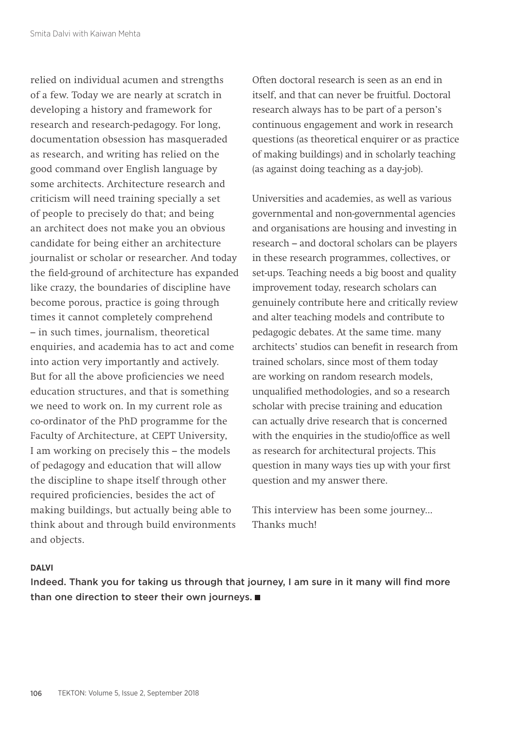relied on individual acumen and strengths of a few. Today we are nearly at scratch in developing a history and framework for research and research-pedagogy. For long, documentation obsession has masqueraded as research, and writing has relied on the good command over English language by some architects. Architecture research and criticism will need training specially a set of people to precisely do that; and being an architect does not make you an obvious candidate for being either an architecture journalist or scholar or researcher. And today the field-ground of architecture has expanded like crazy, the boundaries of discipline have become porous, practice is going through times it cannot completely comprehend – in such times, journalism, theoretical enquiries, and academia has to act and come into action very importantly and actively. But for all the above proficiencies we need education structures, and that is something we need to work on. In my current role as co-ordinator of the PhD programme for the Faculty of Architecture, at CEPT University, I am working on precisely this – the models of pedagogy and education that will allow the discipline to shape itself through other required proficiencies, besides the act of making buildings, but actually being able to think about and through build environments and objects.

Often doctoral research is seen as an end in itself, and that can never be fruitful. Doctoral research always has to be part of a person's continuous engagement and work in research questions (as theoretical enquirer or as practice of making buildings) and in scholarly teaching (as against doing teaching as a day-job).

Universities and academies, as well as various governmental and non-governmental agencies and organisations are housing and investing in research – and doctoral scholars can be players in these research programmes, collectives, or set-ups. Teaching needs a big boost and quality improvement today, research scholars can genuinely contribute here and critically review and alter teaching models and contribute to pedagogic debates. At the same time. many architects' studios can benefit in research from trained scholars, since most of them today are working on random research models, unqualified methodologies, and so a research scholar with precise training and education can actually drive research that is concerned with the enquiries in the studio/office as well as research for architectural projects. This question in many ways ties up with your first question and my answer there.

This interview has been some journey... Thanks much!

#### **DALVI**

Indeed. Thank you for taking us through that journey, I am sure in it many will find more than one direction to steer their own journeys.